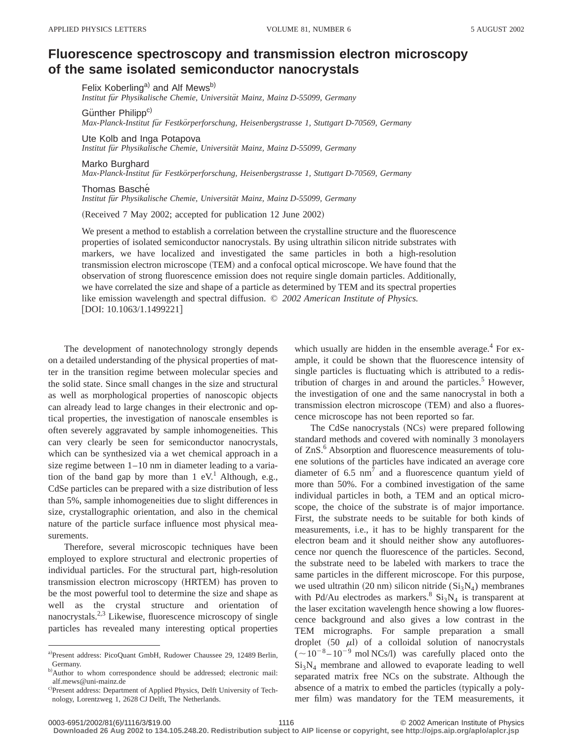## **Fluorescence spectroscopy and transmission electron microscopy of the same isolated semiconductor nanocrystals**

Felix Koberling<sup>a)</sup> and Alf Mews<sup>b)</sup> *Institut fu¨r Physikalische Chemie, Universita¨t Mainz, Mainz D-55099, Germany*

Günther Philipp<sup>c)</sup> *Max-Planck-Institut fu¨r Festko¨rperforschung, Heisenbergstrasse 1, Stuttgart D-70569, Germany*

Ute Kolb and Inga Potapova

*Institut fu¨r Physikalische Chemie, Universita¨t Mainz, Mainz D-55099, Germany*

Marko Burghard

*Max-Planck-Institut fu¨r Festko¨rperforschung, Heisenbergstrasse 1, Stuttgart D-70569, Germany*

Thomas Basché

*Institut fu¨r Physikalische Chemie, Universita¨t Mainz, Mainz D-55099, Germany*

(Received 7 May 2002; accepted for publication 12 June 2002)

We present a method to establish a correlation between the crystalline structure and the fluorescence properties of isolated semiconductor nanocrystals. By using ultrathin silicon nitride substrates with markers, we have localized and investigated the same particles in both a high-resolution transmission electron microscope (TEM) and a confocal optical microscope. We have found that the observation of strong fluorescence emission does not require single domain particles. Additionally, we have correlated the size and shape of a particle as determined by TEM and its spectral properties like emission wavelength and spectral diffusion. © *2002 American Institute of Physics.*  $[$ DOI: 10.1063/1.1499221]

The development of nanotechnology strongly depends on a detailed understanding of the physical properties of matter in the transition regime between molecular species and the solid state. Since small changes in the size and structural as well as morphological properties of nanoscopic objects can already lead to large changes in their electronic and optical properties, the investigation of nanoscale ensembles is often severely aggravated by sample inhomogeneities. This can very clearly be seen for semiconductor nanocrystals, which can be synthesized via a wet chemical approach in a size regime between 1–10 nm in diameter leading to a variation of the band gap by more than  $1 \text{ eV}^1$ . Although, e.g., CdSe particles can be prepared with a size distribution of less than 5%, sample inhomogeneities due to slight differences in size, crystallographic orientation, and also in the chemical nature of the particle surface influence most physical measurements.

Therefore, several microscopic techniques have been employed to explore structural and electronic properties of individual particles. For the structural part, high-resolution transmission electron microscopy (HRTEM) has proven to be the most powerful tool to determine the size and shape as well as the crystal structure and orientation of nanocrystals. $2,3$  Likewise, fluorescence microscopy of single particles has revealed many interesting optical properties

which usually are hidden in the ensemble average.<sup>4</sup> For example, it could be shown that the fluorescence intensity of single particles is fluctuating which is attributed to a redistribution of charges in and around the particles.<sup>5</sup> However, the investigation of one and the same nanocrystal in both a transmission electron microscope (TEM) and also a fluorescence microscope has not been reported so far.

The CdSe nanocrystals (NCs) were prepared following standard methods and covered with nominally 3 monolayers of ZnS.<sup>6</sup> Absorption and fluorescence measurements of toluene solutions of the particles have indicated an average core diameter of  $6.5 \text{ nm}^7$  and a fluorescence quantum yield of more than 50%. For a combined investigation of the same individual particles in both, a TEM and an optical microscope, the choice of the substrate is of major importance. First, the substrate needs to be suitable for both kinds of measurements, i.e., it has to be highly transparent for the electron beam and it should neither show any autofluorescence nor quench the fluorescence of the particles. Second, the substrate need to be labeled with markers to trace the same particles in the different microscope. For this purpose, we used ultrathin  $(20 \text{ nm})$  silicon nitride  $(Si<sub>3</sub>N<sub>4</sub>)$  membranes with Pd/Au electrodes as markers.<sup>8</sup>  $Si<sub>3</sub>N<sub>4</sub>$  is transparent at the laser excitation wavelength hence showing a low fluorescence background and also gives a low contrast in the TEM micrographs. For sample preparation a small droplet  $(50 \mu l)$  of a colloidal solution of nanocrystals  $({\sim}10^{-8} - 10^{-9}$  mol NCs/l) was carefully placed onto the  $Si<sub>3</sub>N<sub>4</sub>$  membrane and allowed to evaporate leading to well separated matrix free NCs on the substrate. Although the absence of a matrix to embed the particles (typically a polymer film) was mandatory for the TEM measurements, it

a)Present address: PicoQuant GmbH, Rudower Chaussee 29, 12489 Berlin, Germany.

b)Author to whom correspondence should be addressed; electronic mail: alf.mews@uni-mainz.de

c)Present address: Department of Applied Physics, Delft University of Technology, Lorentzweg 1, 2628 CJ Delft, The Netherlands.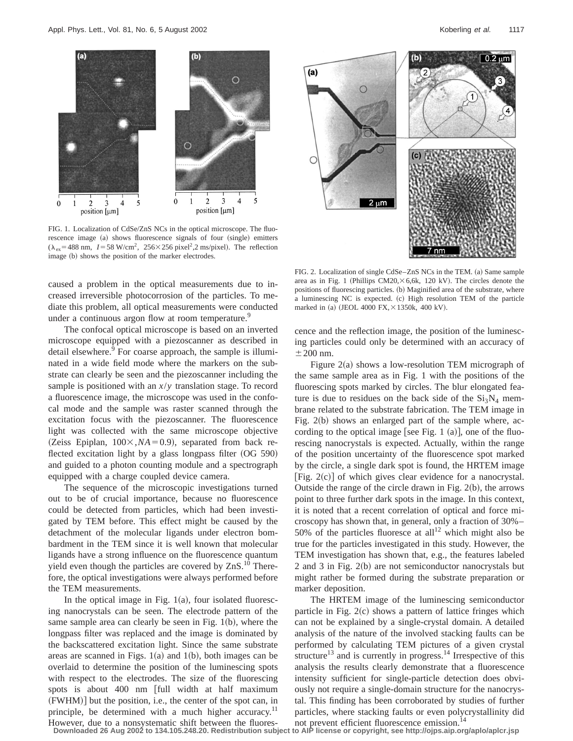$(a)$ 

 $\overline{2}$ 

3

position [µm]

 $\boldsymbol{0}$ 

1

caused a problem in the optical measurements due to increased irreversible photocorrosion of the particles. To mediate this problem, all optical measurements were conducted under a continuous argon flow at room temperature.<sup>9</sup>

image (b) shows the position of the marker electrodes.

5

4

The confocal optical microscope is based on an inverted microscope equipped with a piezoscanner as described in detail elsewhere.<sup>9</sup> For coarse approach, the sample is illuminated in a wide field mode where the markers on the substrate can clearly be seen and the piezoscanner including the sample is positioned with an *x*/*y* translation stage. To record a fluorescence image, the microscope was used in the confocal mode and the sample was raster scanned through the excitation focus with the piezoscanner. The fluorescence light was collected with the same microscope objective (Zeiss Epiplan,  $100 \times$ ,  $NA = 0.9$ ), separated from back reflected excitation light by a glass longpass filter  $(OG 590)$ and guided to a photon counting module and a spectrograph equipped with a charge coupled device camera.

The sequence of the microscopic investigations turned out to be of crucial importance, because no fluorescence could be detected from particles, which had been investigated by TEM before. This effect might be caused by the detachment of the molecular ligands under electron bombardment in the TEM since it is well known that molecular ligands have a strong influence on the fluorescence quantum yield even though the particles are covered by  $ZnS$ .<sup>10</sup> Therefore, the optical investigations were always performed before the TEM measurements.

In the optical image in Fig.  $1(a)$ , four isolated fluorescing nanocrystals can be seen. The electrode pattern of the same sample area can clearly be seen in Fig.  $1(b)$ , where the longpass filter was replaced and the image is dominated by the backscattered excitation light. Since the same substrate areas are scanned in Figs.  $1(a)$  and  $1(b)$ , both images can be overlaid to determine the position of the luminescing spots with respect to the electrodes. The size of the fluorescing spots is about 400 nm [full width at half maximum  $(FWHM)$  but the position, i.e., the center of the spot can, in principle, be determined with a much higher accuracy.<sup>11</sup> However, due to a nonsystematic shift between the fluores-

FIG. 2. Localization of single CdSe–ZnS NCs in the TEM. (a) Same sample area as in Fig. 1 (Phillips  $CM20, \times 6,6k$ , 120 kV). The circles denote the positions of fluorescing particles. (b) Maginified area of the substrate, where a luminescing NC is expected. (c) High resolution TEM of the particle marked in (a) (JEOL 4000 FX, $\times$ 1350k, 400 kV).

(b)

cence and the reflection image, the position of the luminescing particles could only be determined with an accuracy of  $\pm$  200 nm.

Figure  $2(a)$  shows a low-resolution TEM micrograph of the same sample area as in Fig. 1 with the positions of the fluorescing spots marked by circles. The blur elongated feature is due to residues on the back side of the  $Si<sub>3</sub>N<sub>4</sub>$  membrane related to the substrate fabrication. The TEM image in Fig.  $2(b)$  shows an enlarged part of the sample where, according to the optical image [see Fig. 1  $(a)$ ], one of the fluorescing nanocrystals is expected. Actually, within the range of the position uncertainty of the fluorescence spot marked by the circle, a single dark spot is found, the HRTEM image [Fig.  $2(c)$ ] of which gives clear evidence for a nanocrystal. Outside the range of the circle drawn in Fig.  $2(b)$ , the arrows point to three further dark spots in the image. In this context, it is noted that a recent correlation of optical and force microscopy has shown that, in general, only a fraction of 30%– 50% of the particles fluoresce at all<sup>12</sup> which might also be true for the particles investigated in this study. However, the TEM investigation has shown that, e.g., the features labeled 2 and 3 in Fig.  $2(b)$  are not semiconductor nanocrystals but might rather be formed during the substrate preparation or marker deposition.

The HRTEM image of the luminescing semiconductor particle in Fig.  $2(c)$  shows a pattern of lattice fringes which can not be explained by a single-crystal domain. A detailed analysis of the nature of the involved stacking faults can be performed by calculating TEM pictures of a given crystal structure<sup>13</sup> and is currently in progress.<sup>14</sup> Irrespective of this analysis the results clearly demonstrate that a fluorescence intensity sufficient for single-particle detection does obviously not require a single-domain structure for the nanocrystal. This finding has been corroborated by studies of further particles, where stacking faults or even polycrystallinity did not prevent efficient fluorescence emission.<sup>14</sup>

**Downloaded 26 Aug 2002 to 134.105.248.20. Redistribution subject to AIP license or copyright, see http://ojps.aip.org/aplo/aplcr.jsp**





 $\vert$  0.2  $\mu$ m